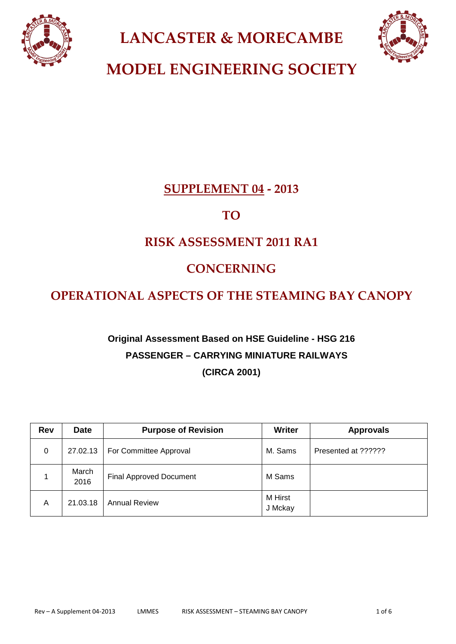

**LANCASTER & MORECAMBE**



**MODEL ENGINEERING SOCIETY**

# **SUPPLEMENT 04 - 2013**

# **TO**

# **RISK ASSESSMENT 2011 RA1**

# **CONCERNING**

# **OPERATIONAL ASPECTS OF THE STEAMING BAY CANOPY**

# **Original Assessment Based on HSE Guideline - HSG 216 PASSENGER – CARRYING MINIATURE RAILWAYS (CIRCA 2001)**

| <b>Rev</b> | <b>Date</b>   | <b>Purpose of Revision</b>     | <b>Writer</b>      | <b>Approvals</b>    |
|------------|---------------|--------------------------------|--------------------|---------------------|
| 0          | 27.02.13      | For Committee Approval         | M. Sams            | Presented at ?????? |
|            | March<br>2016 | <b>Final Approved Document</b> | M Sams             |                     |
| A          | 21.03.18      | <b>Annual Review</b>           | M Hirst<br>J Mckay |                     |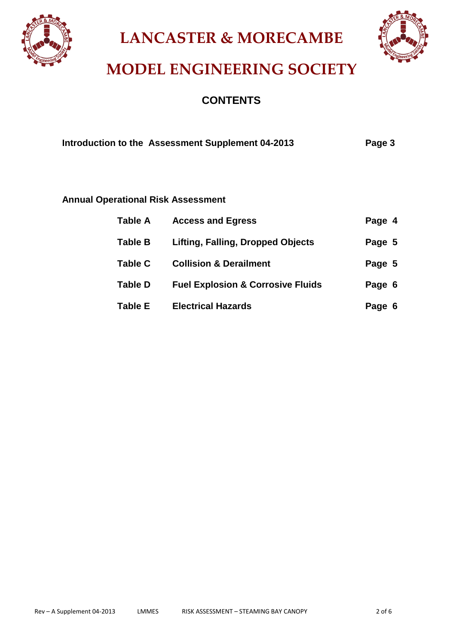

**LANCASTER & MORECAMBE**



# **MODEL ENGINEERING SOCIETY**

## **CONTENTS**

| Introduction to the Assessment Supplement 04-2013 | Page 3 |
|---------------------------------------------------|--------|
|                                                   |        |

## **Annual Operational Risk Assessment**

| <b>Table A</b> | <b>Access and Egress</b>                     | Page 4 |
|----------------|----------------------------------------------|--------|
| <b>Table B</b> | <b>Lifting, Falling, Dropped Objects</b>     | Page 5 |
| <b>Table C</b> | <b>Collision &amp; Derailment</b>            | Page 5 |
| <b>Table D</b> | <b>Fuel Explosion &amp; Corrosive Fluids</b> | Page 6 |
| <b>Table E</b> | <b>Electrical Hazards</b>                    | Page 6 |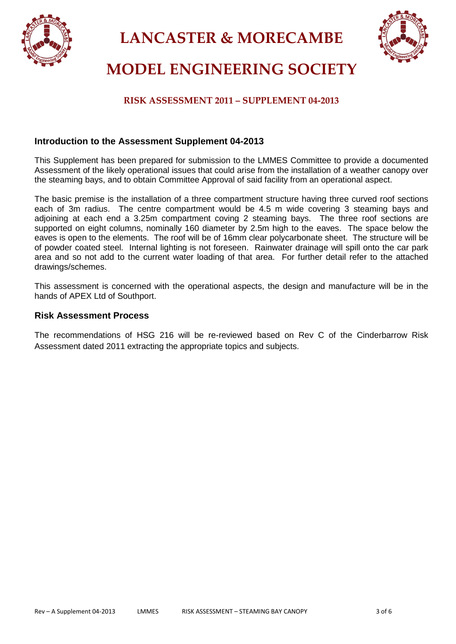

**LANCASTER & MORECAMBE**



# **MODEL ENGINEERING SOCIETY**

## **RISK ASSESSMENT 2011 – SUPPLEMENT 04-2013**

#### **Introduction to the Assessment Supplement 04-2013**

This Supplement has been prepared for submission to the LMMES Committee to provide a documented Assessment of the likely operational issues that could arise from the installation of a weather canopy over the steaming bays, and to obtain Committee Approval of said facility from an operational aspect.

The basic premise is the installation of a three compartment structure having three curved roof sections each of 3m radius. The centre compartment would be 4.5 m wide covering 3 steaming bays and adjoining at each end a 3.25m compartment coving 2 steaming bays. The three roof sections are supported on eight columns, nominally 160 diameter by 2.5m high to the eaves. The space below the eaves is open to the elements. The roof will be of 16mm clear polycarbonate sheet. The structure will be of powder coated steel. Internal lighting is not foreseen. Rainwater drainage will spill onto the car park area and so not add to the current water loading of that area. For further detail refer to the attached drawings/schemes.

This assessment is concerned with the operational aspects, the design and manufacture will be in the hands of APEX Ltd of Southport.

#### **Risk Assessment Process**

The recommendations of HSG 216 will be re-reviewed based on Rev C of the Cinderbarrow Risk Assessment dated 2011 extracting the appropriate topics and subjects.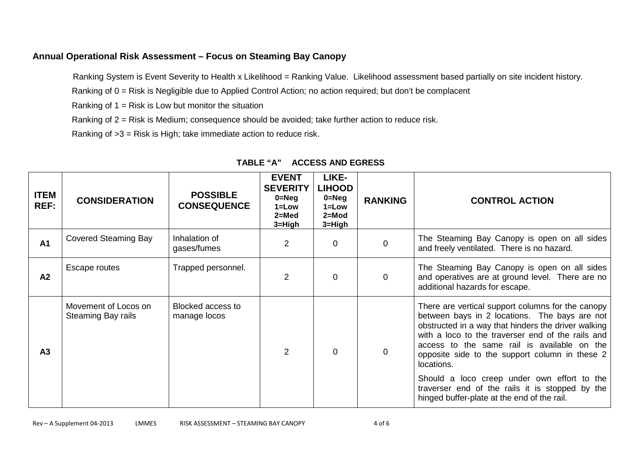### **Annual Operational Risk Assessment – Focus on Steaming Bay Canopy**

Ranking System is Event Severity to Health x Likelihood = Ranking Value. Likelihood assessment based partially on site incident history.

Ranking of 0 = Risk is Negligible due to Applied Control Action; no action required; but don't be complacent

Ranking of  $1 =$  Risk is Low but monitor the situation

Ranking of 2 = Risk is Medium; consequence should be avoided; take further action to reduce risk.

Ranking of >3 = Risk is High; take immediate action to reduce risk.

| <b>ITEM</b><br>REF: | <b>CONSIDERATION</b>                       | <b>POSSIBLE</b><br><b>CONSEQUENCE</b> | <b>EVENT</b><br><b>SEVERITY</b><br>$0 = Neg$<br>$1 = Low$<br>$2=Med$<br>$3 = High$ | LIKE-<br><b>LIHOOD</b><br>$0 = Neg$<br>$1 = Low$<br>$2 = Mod$<br>$3 = High$ | <b>RANKING</b> | <b>CONTROL ACTION</b>                                                                                                                                                                                                                                                                                                                                                                                                                                                          |
|---------------------|--------------------------------------------|---------------------------------------|------------------------------------------------------------------------------------|-----------------------------------------------------------------------------|----------------|--------------------------------------------------------------------------------------------------------------------------------------------------------------------------------------------------------------------------------------------------------------------------------------------------------------------------------------------------------------------------------------------------------------------------------------------------------------------------------|
| <b>A1</b>           | <b>Covered Steaming Bay</b>                | Inhalation of<br>gases/fumes          | $\overline{2}$                                                                     | $\Omega$                                                                    | $\overline{0}$ | The Steaming Bay Canopy is open on all sides<br>and freely ventilated. There is no hazard.                                                                                                                                                                                                                                                                                                                                                                                     |
| A2                  | Escape routes                              | Trapped personnel.                    | $\overline{2}$                                                                     | $\mathbf 0$                                                                 | $\overline{0}$ | The Steaming Bay Canopy is open on all sides<br>and operatives are at ground level. There are no<br>additional hazards for escape.                                                                                                                                                                                                                                                                                                                                             |
| A <sub>3</sub>      | Movement of Locos on<br>Steaming Bay rails | Blocked access to<br>manage locos     | 2                                                                                  | $\Omega$                                                                    | $\Omega$       | There are vertical support columns for the canopy<br>between bays in 2 locations. The bays are not<br>obstructed in a way that hinders the driver walking<br>with a loco to the traverser end of the rails and<br>access to the same rail is available on the<br>opposite side to the support column in these 2<br>locations.<br>Should a loco creep under own effort to the<br>traverser end of the rails it is stopped by the<br>hinged buffer-plate at the end of the rail. |

### **TABLE "A" ACCESS AND EGRESS**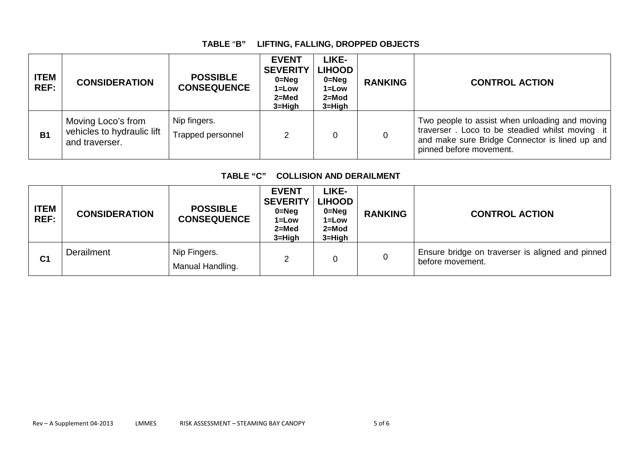## **TABLE** "**B" LIFTING, FALLING, DROPPED OBJECTS**

| <b>ITEM</b><br>REF: | <b>CONSIDERATION</b>                                               | <b>POSSIBLE</b><br><b>CONSEQUENCE</b> | <b>EVENT</b><br><b>SEVERITY</b><br>$0 = Neg$<br>$1 = Low$<br>$2 = Med$<br>$3 = High$ | LIKE-<br><b>LIHOOD</b><br>$0 = Neg$<br>$1 = Low$<br>2=Mod<br>$3 = High$ | <b>RANKING</b> | <b>CONTROL ACTION</b>                                                                                                                                                          |
|---------------------|--------------------------------------------------------------------|---------------------------------------|--------------------------------------------------------------------------------------|-------------------------------------------------------------------------|----------------|--------------------------------------------------------------------------------------------------------------------------------------------------------------------------------|
| <b>B1</b>           | Moving Loco's from<br>vehicles to hydraulic lift<br>and traverser. | Nip fingers.<br>Trapped personnel     |                                                                                      |                                                                         |                | Two people to assist when unloading and moving<br>traverser. Loco to be steadied whilst moving it<br>and make sure Bridge Connector is lined up and<br>pinned before movement. |

### **TABLE "C" COLLISION AND DERAILMENT**

| <b>ITEM</b><br>REF: | <b>CONSIDERATION</b> | <b>POSSIBLE</b><br><b>CONSEQUENCE</b> | <b>EVENT</b><br><b>SEVERITY</b><br>$0 = Neg$<br>$1 = Low$<br>$2 = Med$<br>$3 = High$ | LIKE-<br><b>LIHOOD</b><br>$0 = Neg$<br>$1 = Low$<br>$2 = Mod$<br>$3 = High$ | <b>RANKING</b> | <b>CONTROL ACTION</b>                                                |
|---------------------|----------------------|---------------------------------------|--------------------------------------------------------------------------------------|-----------------------------------------------------------------------------|----------------|----------------------------------------------------------------------|
| C <sub>1</sub>      | Derailment           | Nip Fingers.<br>Manual Handling.      |                                                                                      |                                                                             | 0              | Ensure bridge on traverser is aligned and pinned<br>before movement. |